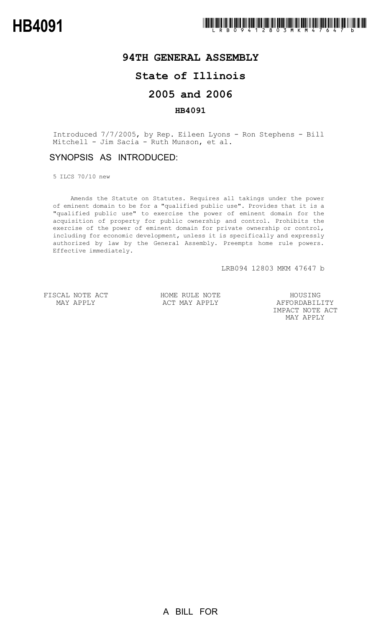# **94TH GENERAL ASSEMBLY**

## **State of Illinois**

## **2005 and 2006**

#### **HB4091**

Introduced 7/7/2005, by Rep. Eileen Lyons - Ron Stephens - Bill Mitchell - Jim Sacia - Ruth Munson, et al.

### SYNOPSIS AS INTRODUCED:

5 ILCS 70/10 new

Amends the Statute on Statutes. Requires all takings under the power of eminent domain to be for a "qualified public use". Provides that it is a "qualified public use" to exercise the power of eminent domain for the acquisition of property for public ownership and control. Prohibits the exercise of the power of eminent domain for private ownership or control, including for economic development, unless it is specifically and expressly authorized by law by the General Assembly. Preempts home rule powers. Effective immediately.

LRB094 12803 MKM 47647 b

FISCAL NOTE ACT MAY APPLY

HOME RULE NOTE ACT MAY APPLY

HOUSING AFFORDABILITY IMPACT NOTE ACT MAY APPLY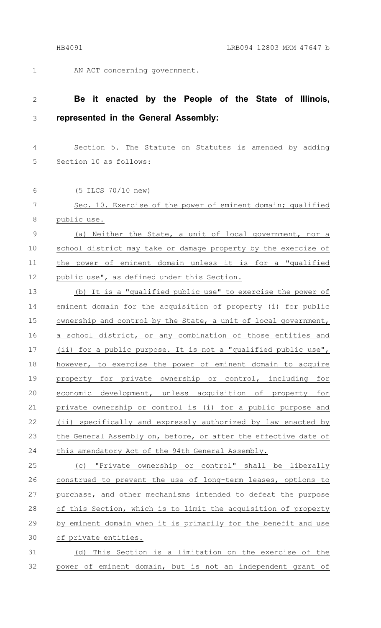1

6

AN ACT concerning government.

#### **Be it enacted by the People of the State of Illinois, represented in the General Assembly:** 2 3

Section 5. The Statute on Statutes is amended by adding Section 10 as follows: 4 5

(5 ILCS 70/10 new)

Sec. 10. Exercise of the power of eminent domain; qualified public use. 7 8

(a) Neither the State, a unit of local government, nor a school district may take or damage property by the exercise of the power of eminent domain unless it is for a "qualified public use", as defined under this Section. 9 10 11 12

(b) It is a "qualified public use" to exercise the power of eminent domain for the acquisition of property (i) for public ownership and control by the State, a unit of local government, a school district, or any combination of those entities and (ii) for a public purpose. It is not a "qualified public use", however, to exercise the power of eminent domain to acquire property for private ownership or control, including for economic development, unless acquisition of property for private ownership or control is (i) for a public purpose and (ii) specifically and expressly authorized by law enacted by the General Assembly on, before, or after the effective date of this amendatory Act of the 94th General Assembly. 13 14 15 16 17 18 19 20 21 22 23 24

(c) "Private ownership or control" shall be liberally construed to prevent the use of long-term leases, options to purchase, and other mechanisms intended to defeat the purpose of this Section, which is to limit the acquisition of property by eminent domain when it is primarily for the benefit and use of private entities. 25 26 27 28 29 30

(d) This Section is a limitation on the exercise of the power of eminent domain, but is not an independent grant of 31 32